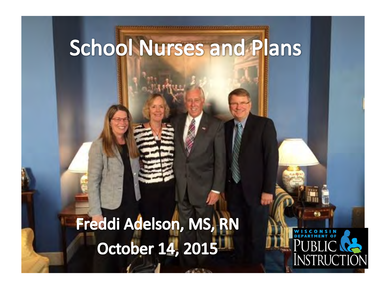## **School Nurses and Plans**

#### Freddi Adelson, MS, RN October 14, 2015

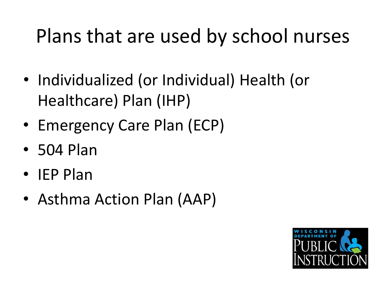#### Plans that are used by school nurses

- Individualized (or Individual) Health (or Healthcare) Plan (IHP)
- Emergency Care Plan (ECP)
- 504 Plan
- IEP Plan
- Asthma Action Plan (AAP)

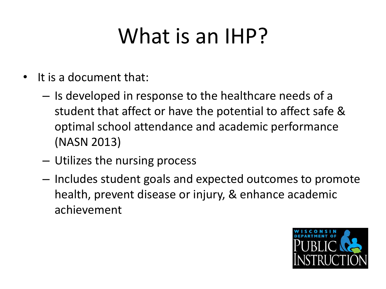## What is an IHP?

- It is a document that:
	- Is developed in response to the healthcare needs of a student that affect or have the potential to affect safe & optimal school attendance and academic performance (NASN 2013)
	- Utilizes the nursing process
	- Includes student goals and expected outcomes to promote health, prevent disease or injury, & enhance academic achievement

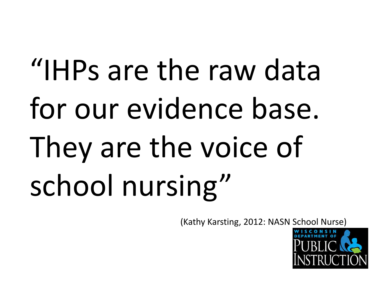# "IHPs are the raw data for our evidence base. They are the voice of school nursing"

(Kathy Karsting, 2012: NASN School Nurse)

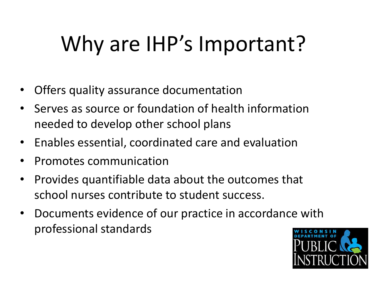## Why are IHP's Important?

- Offers quality assurance documentation
- Serves as source or foundation of health information needed to develop other school plans
- Enables essential, coordinated care and evaluation
- Promotes communication
- Provides quantifiable data about the outcomes that school nurses contribute to student success.
- Documents evidence of our practice in accordance with professional standards

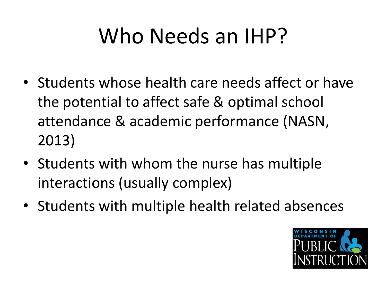## Who Needs an IHP?

- Students whose health care needs affect or have the potential to affect safe & optimal school attendance & academic performance (NASN, 2013)
- Students with whom the nurse has multiple interactions (usually complex)
- Students with multiple health related absences

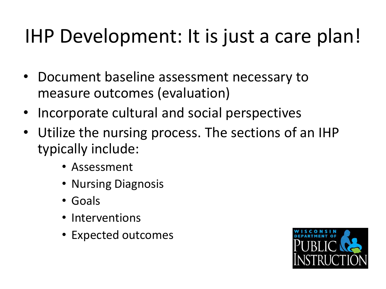#### IHP Development: It is just a care plan!

- Document baseline assessment necessary to measure outcomes (evaluation)
- Incorporate cultural and social perspectives
- Utilize the nursing process. The sections of an IHP typically include:
	- Assessment
	- Nursing Diagnosis
	- Goals
	- Interventions
	- Expected outcomes

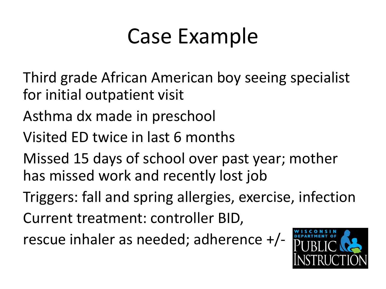## Case Example

- Third grade African American boy seeing specialist for initial outpatient visit
- Asthma dx made in preschool
- Visited ED twice in last 6 months
- Missed 15 days of school over past year; mother has missed work and recently lost job
- Triggers: fall and spring allergies, exercise, infection
- Current treatment: controller BID,
- rescue inhaler as needed; adherence +/-

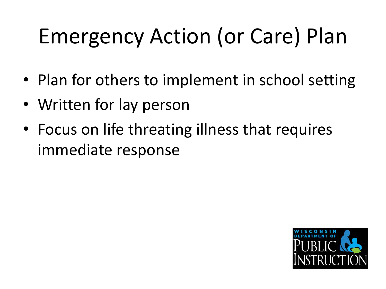# Emergency Action (or Care) Plan

- Plan for others to implement in school setting
- Written for lay person
- Focus on life threating illness that requires immediate response

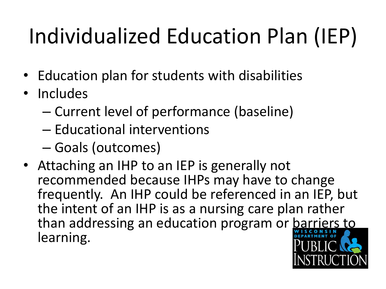# Individualized Education Plan (IEP)

- Education plan for students with disabilities
- Includes
	- Current level of performance (baseline)
	- Educational interventions
	- Goals (outcomes)
- Attaching an IHP to an IEP is generally not recommended because IHPs may have to change frequently. An IHP could be referenced in an IEP, but the intent of an IHP is as a nursing care plan rather than addressing an education program or barriers to learning.

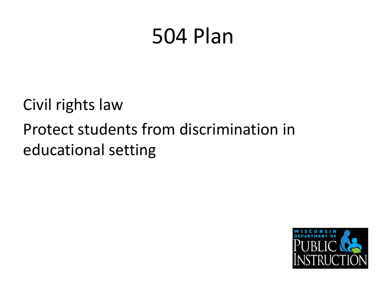## 504 Plan

Civil rights law Protect students from discrimination in educational setting

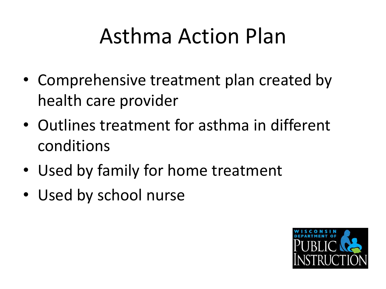## Asthma Action Plan

- Comprehensive treatment plan created by health care provider
- Outlines treatment for asthma in different conditions
- Used by family for home treatment
- Used by school nurse